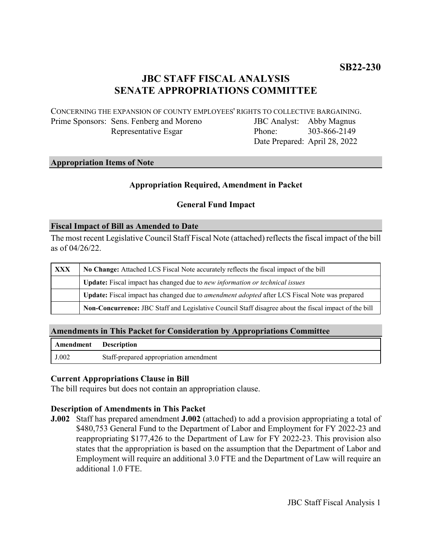# **JBC STAFF FISCAL ANALYSIS SENATE APPROPRIATIONS COMMITTEE**

CONCERNING THE EXPANSION OF COUNTY EMPLOYEES' RIGHTS TO COLLECTIVE BARGAINING.

Prime Sponsors: Sens. Fenberg and Moreno Representative Esgar

JBC Analyst: Abby Magnus Phone: Date Prepared: April 28, 2022 303-866-2149

### **Appropriation Items of Note**

# **Appropriation Required, Amendment in Packet**

### **General Fund Impact**

#### **Fiscal Impact of Bill as Amended to Date**

The most recent Legislative Council Staff Fiscal Note (attached) reflects the fiscal impact of the bill as of 04/26/22.

| <b>XXX</b> | No Change: Attached LCS Fiscal Note accurately reflects the fiscal impact of the bill                 |
|------------|-------------------------------------------------------------------------------------------------------|
|            | Update: Fiscal impact has changed due to new information or technical issues                          |
|            | Update: Fiscal impact has changed due to <i>amendment adopted</i> after LCS Fiscal Note was prepared  |
|            | Non-Concurrence: JBC Staff and Legislative Council Staff disagree about the fiscal impact of the bill |

# **Amendments in This Packet for Consideration by Appropriations Committee**

| Amendment Description |                                        |
|-----------------------|----------------------------------------|
| J.002                 | Staff-prepared appropriation amendment |

### **Current Appropriations Clause in Bill**

The bill requires but does not contain an appropriation clause.

### **Description of Amendments in This Packet**

**J.002** Staff has prepared amendment **J.002** (attached) to add a provision appropriating a total of \$480,753 General Fund to the Department of Labor and Employment for FY 2022-23 and reappropriating \$177,426 to the Department of Law for FY 2022-23. This provision also states that the appropriation is based on the assumption that the Department of Labor and Employment will require an additional 3.0 FTE and the Department of Law will require an additional 1.0 FTE.